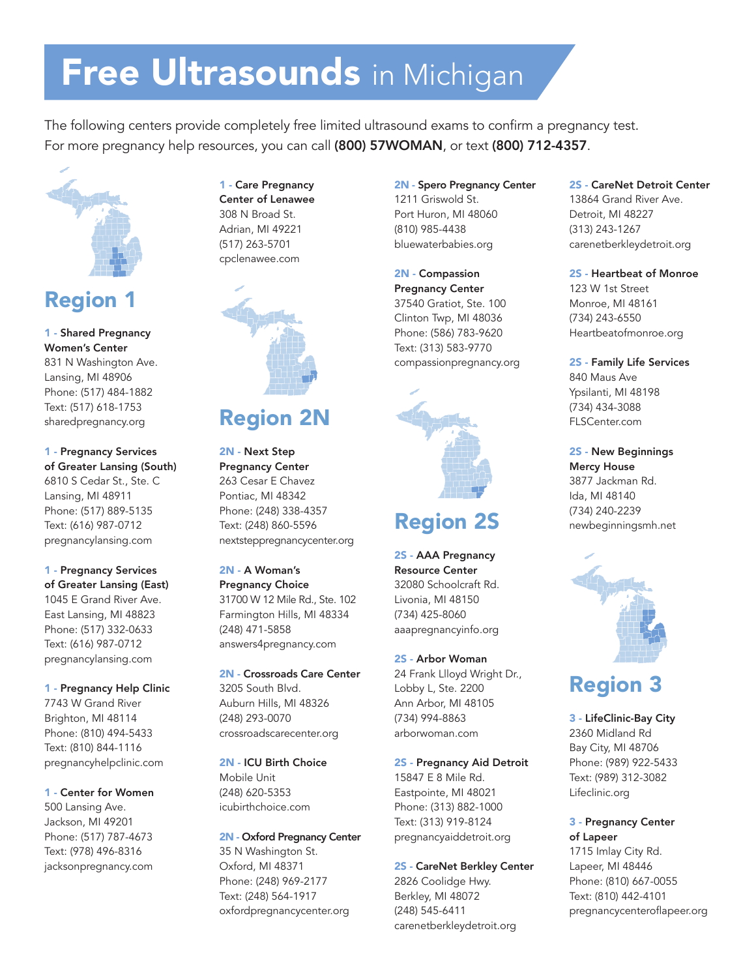# Free Ultrasounds in Michigan

The following centers provide completely free limited ultrasound exams to confirm a pregnancy test. For more pregnancy help resources, you can call (800) 57WOMAN, or text (800) 712-4357.



# Region 1

1 - Shared Pregnancy Women's Center 831 N Washington Ave. Lansing, MI 48906 Phone: (517) 484-1882 Text: (517) 618-1753 sharedpregnancy.org

1 - Pregnancy Services of Greater Lansing (South) 6810 S Cedar St., Ste. C Lansing, MI 48911 Phone: (517) 889-5135 Text: (616) 987-0712 pregnancylansing.com

1 - Pregnancy Services of Greater Lansing (East) 1045 E Grand River Ave. East Lansing, MI 48823 Phone: (517) 332-0633 Text: (616) 987-0712 pregnancylansing.com

1 - Pregnancy Help Clinic 7743 W Grand River Brighton, MI 48114 Phone: (810) 494-5433 Text: (810) 844-1116 pregnancyhelpclinic.com

1 - Center for Women 500 Lansing Ave. Jackson, MI 49201 Phone: (517) 787-4673 Text: (978) 496-8316 jacksonpregnancy.com

1 - Care Pregnancy Center of Lenawee 308 N Broad St. Adrian, MI 49221 (517) 263-5701 cpclenawee.com



# Region 2N

2N - Next Step Pregnancy Center 263 Cesar E Chavez Pontiac, MI 48342 Phone: (248) 338-4357 Text: (248) 860-5596 nextsteppregnancycenter.org

2N - A Woman's Pregnancy Choice 31700 W 12 Mile Rd., Ste. 102 Farmington Hills, MI 48334 (248) 471-5858 answers4pregnancy.com

2N - Crossroads Care Center 3205 South Blvd. Auburn Hills, MI 48326 (248) 293-0070 crossroadscarecenter.org

2N - ICU Birth Choice Mobile Unit (248) 620-5353 icubirthchoice.com

2N - Oxford Pregnancy Center 35 N Washington St. Oxford, MI 48371 Phone: (248) 969-2177 Text: (248) 564-1917 oxfordpregnancycenter.org

2N - Spero Pregnancy Center 1211 Griswold St. Port Huron, MI 48060 (810) 985-4438 bluewaterbabies.org

2N - Compassion Pregnancy Center 37540 Gratiot, Ste. 100 Clinton Twp, MI 48036 Phone: (586) 783-9620 Text: (313) 583-9770 compassionpregnancy.org



### Region 2S

2S - AAA Pregnancy Resource Center 32080 Schoolcraft Rd. Livonia, MI 48150 (734) 425-8060 aaapregnancyinfo.org

2S - Arbor Woman 24 Frank Llloyd Wright Dr., Lobby L, Ste. 2200 Ann Arbor, MI 48105 (734) 994-8863 arborwoman.com

#### 2S - Pregnancy Aid Detroit

15847 E 8 Mile Rd. Eastpointe, MI 48021 Phone: (313) 882-1000 Text: (313) 919-8124 pregnancyaiddetroit.org

#### 2S - CareNet Berkley Center

2826 Coolidge Hwy. Berkley, MI 48072 (248) 545-6411 carenetberkleydetroit.org 2S - CareNet Detroit Center 13864 Grand River Ave. Detroit, MI 48227 (313) 243-1267 carenetberkleydetroit.org

#### 2S - Heartbeat of Monroe

123 W 1st Street Monroe, MI 48161 (734) 243-6550 Heartbeatofmonroe.org

2S - Family Life Services 840 Maus Ave Ypsilanti, MI 48198 (734) 434-3088 FLSCenter.com

2S - New Beginnings Mercy House 3877 Jackman Rd. Ida, MI 48140 (734) 240-2239 newbeginningsmh.net



# Region 3

3 - LifeClinic-Bay City 2360 Midland Rd Bay City, MI 48706 Phone: (989) 922-5433 Text: (989) 312-3082 Lifeclinic.org

#### 3 - Pregnancy Center of Lapeer

1715 Imlay City Rd. Lapeer, MI 48446 Phone: (810) 667-0055 Text: (810) 442-4101 pregnancycenteroflapeer.org